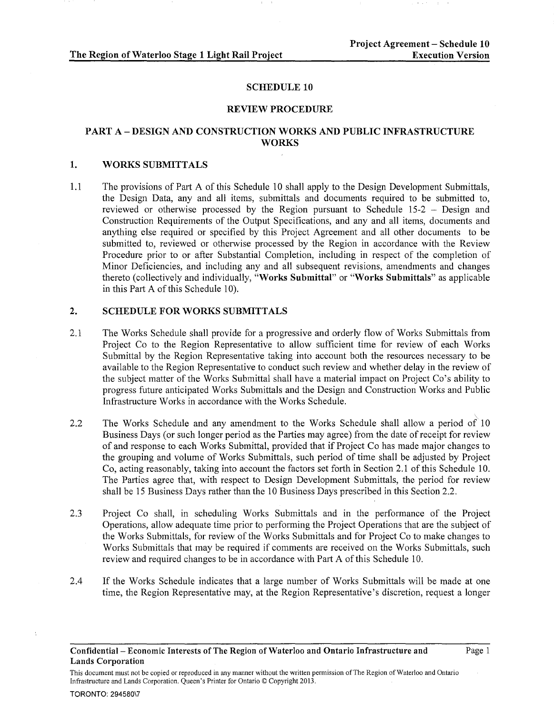#### SCHEDULE 10

#### REVIEW PROCEDURE

# PART A- DESIGN AND CONSTRUCTION WORKS AND PUBLIC INFRASTRUCTURE **WORKS**

#### 1. WORKS SUBMITTALS

1.1 The provisions of Part A of this Schedule 10 shall apply to the Design Development Submittals, the Design Data, any and all items, submittals and documents required to be submitted to, reviewed or otherwise processed by the Region pursuant to Schedule 15-2 - Design and Construction Requirements of the Output Specifications, and any and all items, documents and anything else required or specified by this Project Agreement and all other documents to be submitted to, reviewed or otherwise processed by the Region in accordance with the Review Procedure prior to or after Substantial Completion, including in respect of the completion of Minor Deficiencies, and including any and all subsequent revisions, amendments and changes thereto (collectively and individually, "Works Submittal" or "Works Submittals" as applicable in this Part A of this Schedule 10).

### 2. SCHEDULE FOR WORKS SUBMITTALS

- 2.1 The Works Schedule shall provide for a progressive and orderly flow of Works Submittals from Project Co to the Region Representative to allow sufficient time for review of each Works Submittal by the Region Representative taking into account both the resources necessary to be available to the Region Representative to conduct such review and whether delay in the review of the subject matter of the Works Submittal shall have a material impact on Project Co's ability to progress future anticipated Works Submittals and the Design and Construction Works and Public Infrastructure Works in accordance with the Works Schedule.
- 2.2 The Works Schedule and any amendment to the Works Schedule shall allow a period of 10 Business Days (or such longer period as the Parties may agree) from the date of receipt for review of and response to each Works Submittal, provided that if Project Co has made major changes to the grouping and volume of Works Submittals, such period of time shall be adjusted by Project Co, acting reasonably, taking into account the factors set forth in Section 2.1 of this Schedule 10. The Parties agree that, with respect to Design Development Submittals, the period for review shall be 15 Business Days rather than the 10 Business Days prescribed in this Section 2.2.
- 2.3 Project Co shall, in scheduling Works Submittals and in the performance of the Project Operations, allow adequate time prior to performing the Project Operations that are the subject of the Works Submittals, for review of the Works Submittals and for Project Co to make changes to Works Submittals that may be required if comments are received on the Works Submittals, such review and required changes to be in accordance with Part A ofthis Schedule 10.
- 2.4 If the Works Schedule indicates that a large number of Works Submittals will be made at one time, the Region Representative may, at the Region Representative's discretion, request a longer

This document must not be copied or reproduced in any manner without the written permission of The Region of Waterloo and Ontario Infrastructure and Lands Corporation. Queen's Printer for Ontario © Copyright 2013.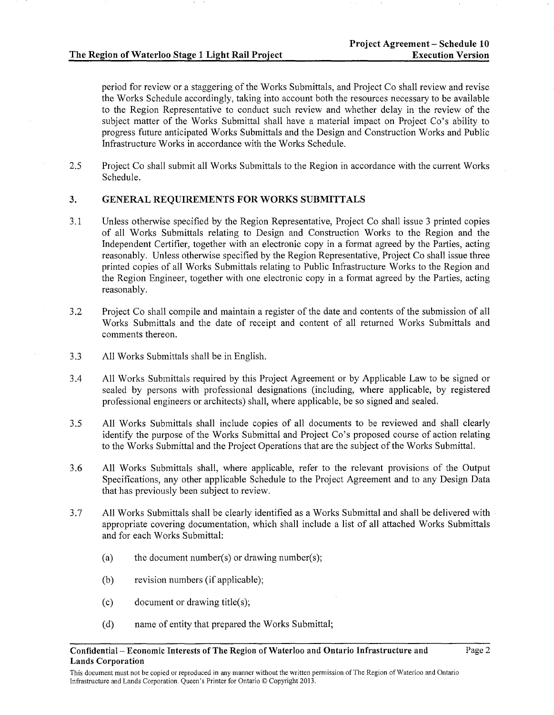period for review or a staggering of the Works Submittals, and Project Co shall review and revise the Works Schedule accordingly, taking into account both the resources necessary to be available to the Region Representative to conduct such review and whether delay in the review of the subject matter of the Works Submittal shall have a material impact on Project Co's ability to progress future anticipated Works Submittals and the Design and Construction Works and Public Infrastructure Works in accordance with the Works Schedule.

2.5 Project Co shall submit all Works Submittals to the Region in accordance with the current Works Schedule.

### 3. GENERAL REQUIREMENTS FOR WORKS SUBMITTALS

- 3.1 Unless otherwise specified by the Region Representative, Project Co shall issue 3 printed copies of all Works Submittals relating to Design and Construction Works to the Region and the Independent Certifier, together with an electronic copy in a format agreed by the Parties, acting reasonably. Unless otherwise specified by the Region Representative, Project Co shall issue three printed copies of all Works Submittals relating to Public Infrastructure Works to the Region and the Region Engineer, together with one electronic copy in a format agreed by the Parties, acting reasonably.
- 3.2 Project Co shall compile and maintain a register of the date and contents of the submission of all Works Submittals and the date of receipt and content of all returned Works Submittals and comments thereon.
- 3.3 All Works Submittals shall be in English.
- 3.4 All Works Submittals required by this Project Agreement or by Applicable Law to be signed or sealed by persons with professional designations (including, where applicable, by registered professional engineers or architects) shall, where applicable, be so signed and sealed.
- 3.5 All Works Submittals shall include copies of all documents to be reviewed and shall clearly identify the purpose of the Works Submittal and Project Co's proposed course of action relating to the Works Submittal and the Project Operations that are the subject of the Works Submittal.
- 3.6 All Works Submittals shall, where applicable, refer to the relevant provisions of the Output Specifications, any other applicable Schedule to the Project Agreement and to any Design Data that has previously been subject to review.
- 3. 7 All Works Submittals shall be clearly identified as a Works Submittal and shall be delivered with appropriate covering documentation, which shall include a list of all attached Works Submittals and for each Works Submittal:
	- (a) the document number(s) or drawing number(s);
	- (b) revision numbers (if applicable);
	- (c) document or drawing title(s);
	- (d) name of entity that prepared the Works Submittal;

This document must not be copied or reproduced in any manner without the written permission of The Region of Waterloo and Ontario Infrastructure and Lands Corporation. Queen's Printer for Ontario© Copyright 2013.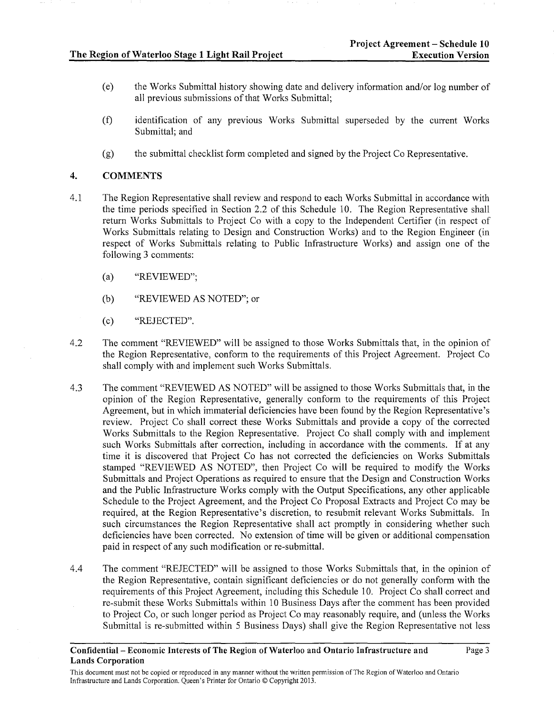- (e) the Works Submittal history showing date and delivery information and/or log number of all previous submissions of that Works Submittal;
- (f) identification of any previous Works Submittal superseded by the current Works Submittal; and
- (g) the submittal checklist form completed and signed by the Project Co Representative.

### 4. COMMENTS

- 4.1 The Region Representative shall review and respond to each Works Submittal in accordance with the time periods specified in Section 2.2 of this Schedule 10. The Region Representative shall return Works Submittals to Project Co with a copy to the Independent Certifier (in respect of Works Submittals relating to Design and Construction Works) and to the Region Engineer (in respect of Works Submittals relating to Public Infrastructure Works) and assign one of the following 3 comments:
	- (a) "REVIEWED";
	- (b) "REVIEWED AS NOTED"; or
	- (c) "REJECTED".
- 4.2 The comment "REVIEWED" will be assigned to those Works Submittals that, in the opinion of the Region Representative, conform to the requirements of this Project Agreement. Project Co shall comply with and implement such Works Submittals.
- 4.3 The comment "REVIEWED AS NOTED" will be assigned to those Works Submittals that, in the opinion of the Region Representative, generally conform to the requirements of this Project Agreement, but in which immaterial deficiencies have been found by the Region Representative's review. Project Co shall correct these Works Submittals and provide a copy of the corrected Works Submittals to the Region Representative. Project Co shall comply with and implement such Works Submittals after correction, including in accordance with the comments. If at any time it is discovered that Project Co has not corrected the deficiencies on Works Submittals stamped "REVIEWED AS NOTED", then Project Co will be required to modify the Works Submittals and Project Operations as required to ensure that the Design and Construction Works and the Public Infrastructure Works comply with the Output Specifications, any other applicable Schedule to the Project Agreement, and the Project Co Proposal Extracts and Project Co may be required, at the Region Representative's discretion, to resubmit relevant Works Submittals. In such circumstances the Region Representative shall act promptly in considering whether such deficiencies have been corrected. No extension of time will be given or additional compensation paid in respect of any such modification or re-submittal.
- 4.4 The comment "REJECTED" will be assigned to those Works Submittals that, in the opinion of the Region Representative, contain significant deficiencies or do not generally conform with the requirements of this Project Agreement, including this Schedule 10. Project Co shall correct and re-submit these Works Submittals within 10 Business Days after the comment has been provided to Project Co, or such longer period as Project Co may reasonably require, and (unless the Works Submittal is re-submitted within 5 Business Days) shall give the Region Representative not less

This document must not be copied or reproduced in any manner without the written pennission of The Region of Waterloo and Ontario Infrastructure and Lands Corporation. Queen's Printer for Ontario© Copyright 2013.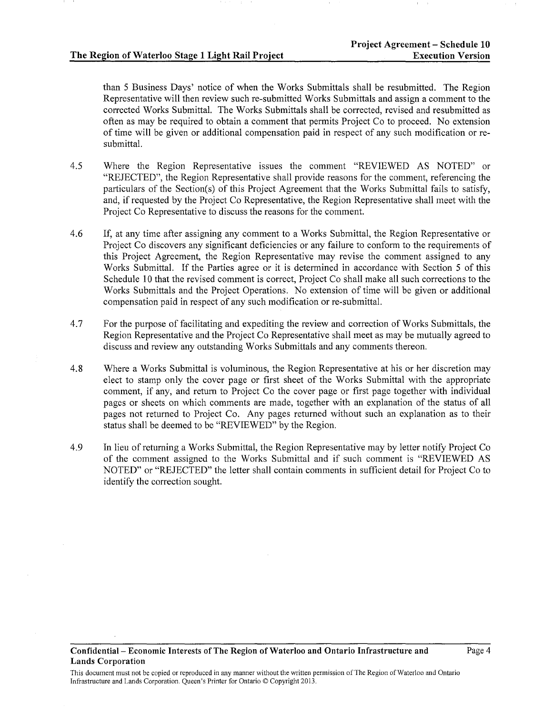than 5 Business Days' notice of when the Works Submittals shall be resubmitted. The Region Representative will then review such re-submitted Works Submittals and assign a comment to the corrected Works Submittal. The Works Submittals shall be corrected, revised and resubmitted as often as may be required to obtain a comment that permits Project Co to proceed. No extension of time will be given or additional compensation paid in respect of any such modification or resubmittal.

- 4.5 Where the Region Representative issues the comment "REVIEWED AS NOTED" or "REJECTED", the Region Representative shall provide reasons for the comment, referencing the particulars of the Section(s) of this Project Agreement that the Works Submittal fails to satisfy, and, if requested by the Project Co Representative, the Region Representative shall meet with the Project Co Representative to discuss the reasons for the comment.
- 4.6 If, at any time after assigning any comment to a Works Submittal, the Region Representative or Project Co discovers any significant deficiencies or any failure to conform to the requirements of this Project Agreement, the Region Representative may revise the comment assigned to any Works Submittal. If the Parties agree or it is determined in accordance with Section 5 of this Schedule 10 that the revised comment is correct, Project Co shall make all such corrections to the Works Submittals and the Project Operations. No extension of time will be given or additional compensation paid in respect of any such modification or re-submittal.
- 4.7 For the purpose of facilitating and expediting the review and correction of Works Submittals, the Region Representative and the Project Co Representative shall meet as may be mutually agreed to discuss and review any outstanding Works Submittals and any comments thereon.
- 4.8 Where a Works Submittal is voluminous, the Region Representative at his or her discretion may elect to stamp only the cover page or first sheet of the Works Submittal with the appropriate comment, if any, and return to Project Co the cover page or first page together with individual pages or sheets on which comments are made, together with an explanation of the status of all pages not returned to Project Co. Any pages returned without such an explanation as to their status shall be deemed to be "REVIEWED" by the Region.
- 4.9 In lieu of returning a Works Submittal, the Region Representative may by letter notify Project Co of the comment assigned to the Works Submittal and if such comment is "REVIEWED AS NOTED" or "REJECTED" the letter shall contain comments in sufficient detail for Project Co to identify the correction sought.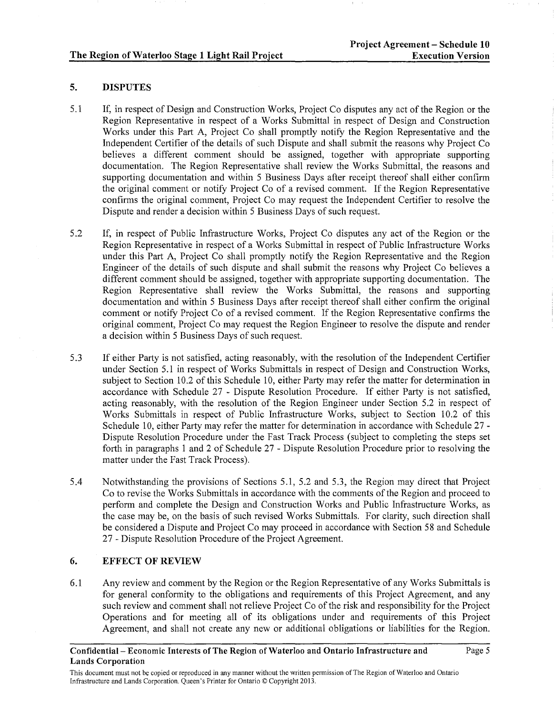# 5. DISPUTES

- 5.1 If, in respect of Design and Construction Works, Project Co disputes any act of the Region or the Region Representative in respect of a Works Submittal in respect of Design and Construction Works under this Part A, Project Co shall promptly notify the Region Representative and the Independent Certifier of the details of such Dispute and shall submit the reasons why Project Co believes a different comment should be assigned, together with appropriate supporting documentation. The Region Representative shall review the Works Submittal, the reasons and supporting documentation and within 5 Business Days after receipt thereof shall either confirm the original comment or notify Project Co of a revised comment. If the Region Representative confirms the original comment, Project Co may request the Independent Certifier to resolve the Dispute and render a decision within 5 Business Days of such request.
- 5.2 If, in respect of Public Infrastructure Works, Project Co disputes any act of the Region or the Region Representative in respect of a Works Submittal in respect of Public Infrastructure Works under this Part A, Project Co shall promptly notify the Region Representative and the Region Engineer of the details of such dispute and shall submit the reasons why Project Co believes a different comment should be assigned, together with appropriate supporting documentation. The Region Representative shall review the Works Submittal, the reasons and supporting documentation and within 5 Business Days after receipt thereof shall either confirm the original comment or notify Project Co of a revised comment. If the Region Representative confirms the original comment, Project Co may request the Region Engineer to resolve the dispute and render a decision within 5 Business Days of such request.
- 5.3 If either Party is not satisfied, acting reasonably, with the resolution of the Independent Certifier under Section 5.1 in respect of Works Submittals in respect of Design and Construction Works, subject to Section 10.2 of this Schedule 10, either Party may refer the matter for determination in accordance with Schedule 27 - Dispute Resolution Procedure. If either Party is not satisfied, acting reasonably, with the resolution of the Region Engineer under Section 5.2 in respect of Works Submittals in respect of Public Infrastructure Works, subject to Section 10.2 of this Schedule 10, either Party may refer the matter for determination in accordance with Schedule 27 -Dispute Resolution Procedure under the Fast Track Process (subject to completing the steps set forth in paragraphs 1 and 2 of Schedule 27 - Dispute Resolution Procedure prior to resolving the matter under the Fast Track Process).
- 5.4 Notwithstanding the provisions of Sections 5 .1, 5.2 and 5.3, the Region may direct that Project Co to revise the Works Submittals in accordance with the comments of the Region and proceed to perform and complete the Design and Construction Works and Public Infrastructure Works, as the case may be, on the basis of such revised Works Submittals. For clarity, such direction shall be considered a Dispute and Project Co may proceed in accordance with Section 58 and Schedule 27- Dispute Resolution Procedure of the Project Agreement.

# 6. EFFECT OF REVIEW

6.1 Any review and comment by the Region or the Region Representative of any Works Submittals is for general conformity to the obligations and requirements of this Project Agreement, and any such review and comment shall not relieve Project Co of the risk and responsibility for the Project Operations and for meeting all of its obligations under and requirements of this Project Agreement, and shall not create any new or additional obligations or liabilities for the Region.

This document must not be copied or reproduced in any manner without the written permission of The Region of Waterloo and Ontario Infrastructure and Lands Corporation. Queen's Printer for Ontario© Copyright 2013.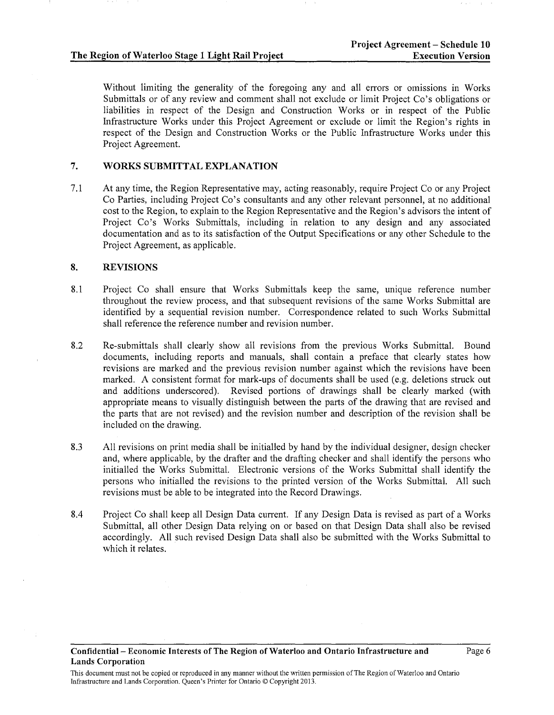Without limiting the generality of the foregoing any and all errors or omissions in Works Submittals or of any review and comment shall not exclude or limit Project Co's obligations or liabilities in respect of the Design and Construction Works or in respect of the Public Infrastructure Works under this Project Agreement or exclude or limit the Region's rights in respect of the Design and Construction Works or the Public Infrastructure Works under this Project Agreement.

## 7. WORKS SUBMITTAL EXPLANATION

7.1 At any time, the Region Representative may, acting reasonably, require Project Co or any Project Co Parties, including Project Co's consultants and any other relevant personnel, at no additional cost to the Region, to explain to the Region Representative and the Region's advisors the intent of Project Co's Works Submittals, including in relation to any design and any associated documentation and as to its satisfaction of the Output Specifications or any other Schedule to the Project Agreement, as applicable.

# 8. REVISIONS

- 8.1 Project Co shall ensure that Works Submittals keep the same, unique reference number throughout the review process, and that subsequent revisions of the same Works Submittal are identified by a sequential revision number. Correspondence related to such Works Submittal shall reference the reference number and revision number.
- 8.2 Re-submittals shall clearly show all revisions from the previous Works Submittal. Bound documents, including reports and manuals, shall contain a preface that clearly states how revisions are marked and the previous revision number against which the revisions have been marked. A consistent format for mark-ups of documents shall be used (e.g. deletions struck out and additions underscored). Revised portions of drawings shall be clearly marked (with appropriate means to visually distinguish between the parts of the drawing that are revised and the parts that are not revised) and the revision number and description of the revision shall be included on the drawing.
- 8.3 All revisions on print media shall be initialled by hand by the individual designer, design checker and, where applicable, by the drafter and the drafting checker and shall identify the persons who initialled the Works Submittal. Electronic versions of the Works Submittal shall identify the persons who initialled the revisions to the printed version of the Works Submittal. All such revisions must be able to be integrated into the Record Drawings.
- 8.4 Project Co shall keep all Design Data current. If any Design Data is revised as part of a Works Submittal, all other Design Data relying on or based on that Design Data shall also be revised accordingly. All such revised Design Data shall also be submitted with the Works Submittal to which it relates.

Confidential- Economic Interests of The Region of Waterloo and Ontario Infrastructure and Lands Corporation

This document must not be copied or reproduced in any manner without the written permission of The Region of Waterloo and Ontario Infrastructure and Lands Corporation. Queen's Printer for Ontario© Copyright 2013.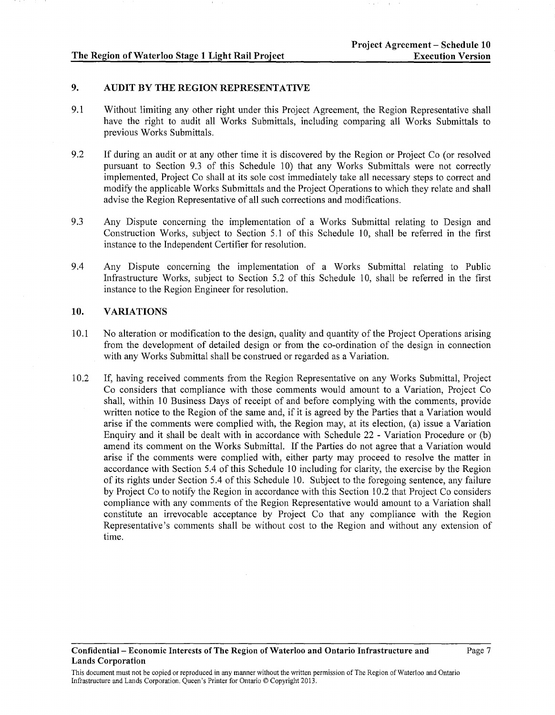## 9. AUDIT BY THE REGION REPRESENTATIVE

- 9.1 Without limiting any other right under this Project Agreement, the Region Representative shall have the right to audit all Works Submittals, including comparing all Works Submittals to previous Works Submittals.
- 9.2 If during an audit or at any other time it is discovered by the Region or Project Co (or resolved pursuant to Section 9.3 of this Schedule 10) that any Works Submittals were not correctly implemented, Project Co shall at its sole cost immediately take all necessary steps to correct and modify the applicable Works Submittals and the Project Operations to which they relate and shall advise the Region Representative of all such corrections and modifications.
- 9.3 Any Dispute concerning the implementation of a Works Submittal relating to Design and Construction Works, subject to Section 5.1 of this Schedule 10, shall be referred in the first instance to the Independent Certifier for resolution.
- 9.4 Any Dispute concerning the implementation of a Works Submittal relating to Public Infrastructure Works, subject to Section 5.2 of this Schedule 10, shall be referred in the first instance to the Region Engineer for resolution.

# 10. VARIATIONS

- 10.1 No alteration or modification to the design, quality and quantity of the Project Operations arising from the development of detailed design or from the co-ordination of the design in connection with any Works Submittal shall be construed or regarded as a Variation.
- 10.2 If, having received comments from the Region Representative on any Works Submittal, Project Co considers that compliance with those comments would amount to a Variation, Project Co shall, within 10 Business Days of receipt of and before complying with the comments, provide written notice to the Region of the same and, if it is agreed by the Parties that a Variation would arise if the comments were complied with, the Region may, at its election, (a) issue a Variation Enquiry and it shall be dealt with in accordance with Schedule 22 - Variation Procedure or (b) amend its comment on the Works Submittal. If the Parties do not agree that a Variation would arise if the comments were complied with, either party may proceed to resolve the matter in accordance with Section 5.4 of this Schedule 10 including for clarity, the exercise by the Region of its rights under Section 5.4 of this Schedule 10. Subject to the foregoing sentence, any failure by Project Co to notify the Region in accordance with this Section 10.2 that Project Co considers compliance with any comments of the Region Representative would amount to a Variation shall constitute an irrevocable acceptance by Project Co that any compliance with the Region Representative's comments shall be without cost to the Region and without any extension of time.

This document must not be copied or reproduced in any manner without the written permission of The Region of Waterloo and Ontario Infrastructure and Lands Corporation. Queen's Printer for Ontario© Copyright 2013.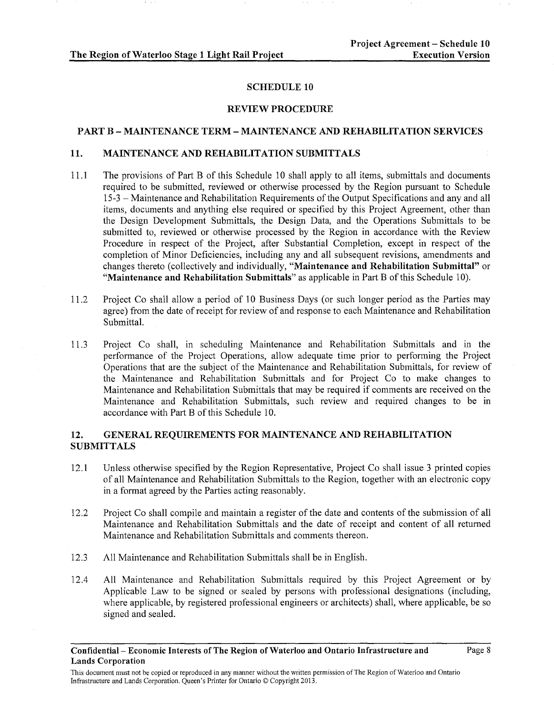### SCHEDULE 10

#### REVIEW PROCEDURE

#### PART B- MAINTENANCE TERM- MAINTENANCE AND REHABILITATION SERVICES

#### 11. MAINTENANCE AND REHABILITATION SUBMITTALS

- 11.1 The provisions of Part B of this Schedule 10 shall apply to all items, submittals and documents required to be submitted, reviewed or otherwise processed by the Region pursuant to Schedule 15-3- Maintenance and Rehabilitation Requirements of the Output Specifications and any and all items, documents and anything else required or specified by this Project Agreement, other than the Design Development Submittals, the Design Data, and the Operations Submittals to be submitted to, reviewed or otherwise processed by the Region in accordance with the Review Procedure in respect of the Project, after Substantial Completion, except in respect of the completion of Minor Deficiencies, including any and all subsequent revisions, amendments and changes thereto (collectively and individually, "Maintenance and Rehabilitation Submittal" or "Maintenance and Rehabilitation Submittals" as applicable in Part B of this Schedule 10).
- 11.2 Project Co shall allow a period of 10 Business Days (or such longer period as the Parties may agree) from the date of receipt for review of and response to each Maintenance and Rehabilitation Submittal.
- 11.3 Project Co shall, in scheduling Maintenance and Rehabilitation Submittals and in the performance of the Project Operations, allow adequate time prior to performing the Project Operations that are the subject of the Maintenance and Rehabilitation Submittals, for review of the Maintenance and Rehabilitation Submittals and for Project Co to make changes to Maintenance and Rehabilitation Submittals that may be required if comments are received on the Maintenance and Rehabilitation Submittals, such review and required changes to be in accordance with Part B of this Schedule 10.

## 12. GENERAL REQUIREMENTS FOR MAINTENANCE AND REHABILITATION **SUBMITTALS**

- 12.1 Unless otherwise specified by the Region Representative, Project Co shall issue 3 printed copies of all Maintenance and Rehabilitation Submittals to the Region, together with an electronic copy in a format agreed by the Parties acting reasonably.
- 12.2 Project Co shall compile and maintain a register of the date and contents of the submission of all Maintenance and Rehabilitation Submittals and the date of receipt and content of all returned Maintenance and Rehabilitation Submittals and comments thereon.
- 12.3 All Maintenance and Rehabilitation Submittals shall be in English.
- 12.4 All Maintenance and Rehabilitation Submittals required by this Project Agreement or by Applicable Law to be signed or sealed by persons with professional designations (including, where applicable, by registered professional engineers or architects) shall, where applicable, be so signed and sealed.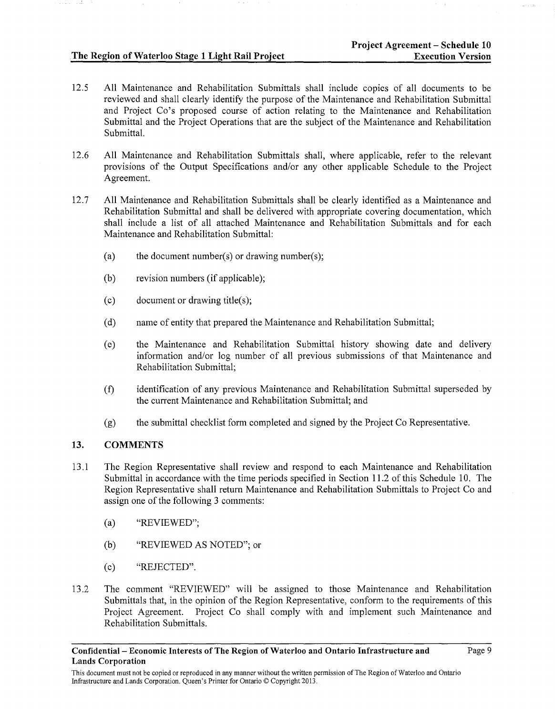- 12.5 All Maintenance and Rehabilitation Submittals shall include copies of all documents to be reviewed and shall clearly identify the purpose of the Maintenance and Rehabilitation Submittal and Project Co's proposed course of action relating to the Maintenance and Rehabilitation Submittal and the Project Operations that are the subject of the Maintenance and Rehabilitation Submittal.
- 12.6 All Maintenance and Rehabilitation Submittals shall, where applicable, refer to the relevant provisions of the Output Specifications and/or any other applicable Schedule to the Project Agreement.
- 12.7 All Maintenance and Rehabilitation Submittals shall be clearly identified as a Maintenance and Rehabilitation Submittal and shall be delivered with appropriate covering documentation, which shall include a list of all attached Maintenance and Rehabilitation Submittals and for each Maintenance and Rehabilitation Submittal:
	- (a) the document number(s) or drawing number(s);
	- (b) revision numbers (if applicable);
	- (c) document or drawing title(s);
	- (d) name of entity that prepared the Maintenance and Rehabilitation Submittal;
	- (e) the Maintenance and Rehabilitation Submittal history showing date and delivery information and/or log number of all previous submissions of that Maintenance and Rehabilitation Submittal;
	- (f) identification of any previous Maintenance and Rehabilitation Submittal superseded by the current Maintenance and Rehabilitation Submittal; and
	- (g) the submittal checklist form completed and signed by the Project Co Representative.

## 13. COMMENTS

- 13 .1 The Region Representative shall review and respond to each Maintenance and Rehabilitation Submittal in accordance with the time periods specified in Section 11.2 of this Schedule 10. The Region Representative shall return Maintenance and Rehabilitation Submittals to Project Co and assign one of the following 3 comments:
	- (a) "REVIEWED";
	- (b) "REVIEWED AS NOTED"; or
	- (c) "REJECTED".
- 13 .2 The comment "REVIEWED" will be assigned to those Maintenance and Rehabilitation Submittals that, in the opinion of the Region Representative, conform to the requirements of this Project Agreement. Project Co shall comply with and implement such Maintenance and Rehabilitation Submittals.

This document must not be copied or reproduced in any manner without the written permission of The Region of Waterloo and Ontario Infrastructure and Lands Corporation. Queen's Printer for Ontario© Copyright 2013.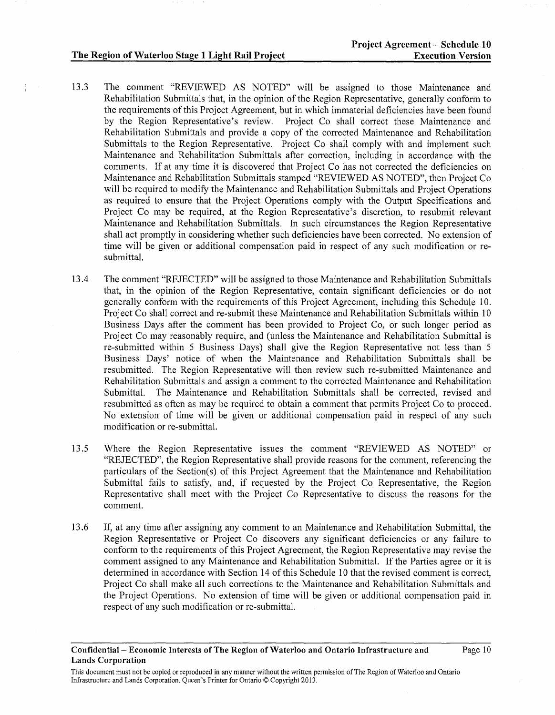- 13.3 The comment "REVIEWED AS NOTED" will be assigned to those Maintenance and Rehabilitation Submittals that, in the opinion of the Region Representative, generally conform to the requirements of this Project Agreement, but in which immaterial deficiencies have been found by the Region Representative's review. Project Co shall correct these Maintenance and Rehabilitation Submittals and provide a copy of the corrected Maintenance and Rehabilitation Submittals to the Region Representative. Project Co shall comply with and implement such Maintenance and Rehabilitation Submittals after correction, including in accordance with the comments. If at any time it is discovered that Project Co has not corrected the deficiencies on Maintenance and Rehabilitation Submittals stamped "REVIEWED AS NOTED", then Project Co will be required to modify the Maintenance and Rehabilitation Submittals and Project Operations as required to ensure that the Project Operations comply with the Output Specifications and Project Co may be required, at the Region Representative's discretion, to resubmit relevant Maintenance and Rehabilitation Submittals. In such circumstances the Region Representative shall act promptly in considering whether such deficiencies have been corrected. No extension of time will be given or additional compensation paid in respect of any such modification or resubmittal.
- 13.4 The comment "REJECTED" will be assigned to those Maintenance and Rehabilitation Submittals that, in the opinion of the Region Representative, contain significant deficiencies or do not generally conform with the requirements of this Project Agreement, including this Schedule 10. Project Co shall correct and re-submit these Maintenance and Rehabilitation Submittals within 10 Business Days after the comment has been provided to Project Co, or such longer period as Project Co may reasonably require, and (unless the Maintenance and Rehabilitation Submittal is re-submitted within 5 Business Days) shall give the Region Representative not less than 5 Business Days' notice of when the Maintenance and Rehabilitation Submittals shall be resubmitted. The Region Representative will then review such re-submitted Maintenance and Rehabilitation Submittals and assign a comment to the corrected Maintenance and Rehabilitation<br>Submittal. The Maintenance and Rehabilitation Submittals shall be corrected, revised and The Maintenance and Rehabilitation Submittals shall be corrected, revised and resubmitted as often as may be required to obtain a comment that permits Project Co to proceed. No extension of time will be given or additional compensation paid in respect of any such modification or re-submittal.
- 13.5 Where the Region Representative issues the comment "REVIEWED AS NOTED" or "REJECTED", the Region Representative shall provide reasons for the comment, referencing the particulars of the Section(s) of this Project Agreement that the Maintenance and Rehabilitation Submittal fails to satisfy, and, if requested by the Project Co Representative, the Region Representative shall meet with the Project Co Representative to discuss the reasons for the comment.
- 13 .6 If, at any time after assigning any comment to an Maintenance and Rehabilitation Submittal, the Region Representative or Project Co discovers any significant deficiencies or any failure to conform to the requirements of this Project Agreement, the Region Representative may revise the comment assigned to any Maintenance and Rehabilitation Submittal. If the Parties agree or it is determined in accordance with Section 14 of this Schedule 10 that the revised comment is correct, Project Co shall make all such corrections to the Maintenance and Rehabilitation Submittals and the Project Operations. No extension of time will be given or additional compensation paid in respect of any such modification or re-submittal.

Confidential- Economic Interests of The Region of Waterloo and Ontario Infrastructure and Lands Corporation

This document must not be copied or reproduced in any manner without the written permission of The Region of Waterloo and Ontario Infrastructure and Lands Corporation. Queen's Printer for Ontario© Copyright 2013.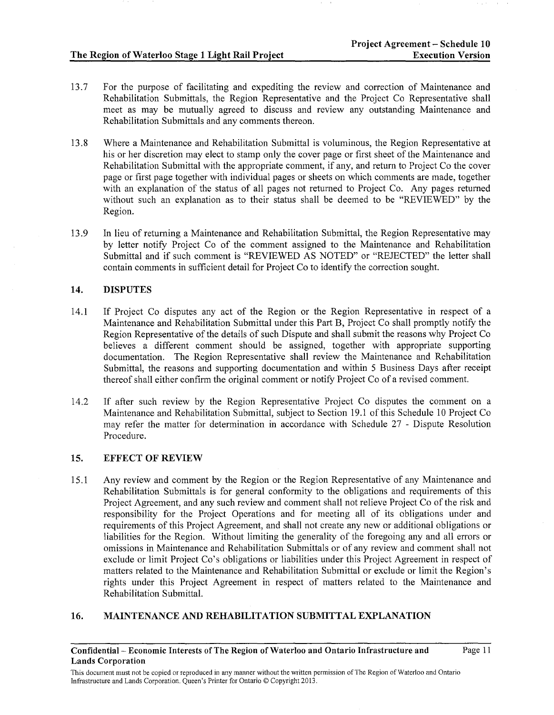Page 11

- 13.7 For the purpose of facilitating and expediting the review and correction of Maintenance and Rehabilitation Submittals, the Region Representative and the Project Co Representative shall meet as may be mutually agreed to discuss and review any outstanding Maintenance and Rehabilitation Submittals and any comments thereon.
- 13.8 Where a Maintenance and Rehabilitation Submittal is voluminous, the Region Representative at his or her discretion may elect to stamp only the cover page or first sheet of the Maintenance and Rehabilitation Submittal with the appropriate comment, if any, and return to Project Co the cover page or first page together with individual pages or sheets on which comments are made, together with an explanation of the status of all pages not returned to Project Co. Any pages returned without such an explanation as to their status shall be deemed to be "REVIEWED" by the Region.
- 13 .9 In lieu of returning a Maintenance and Rehabilitation Submittal, the Region Representative may by letter notify Project Co of the comment assigned to the Maintenance and Rehabilitation Submittal and if such comment is "REVIEWED AS NOTED" or "REJECTED" the letter shall contain comments in sufficient detail for Project Co to identify the correction sought.

## 14. DISPUTES

- 14.1 If Project Co disputes any act of the Region or the Region Representative in respect of a Maintenance and Rehabilitation Submittal under this Part B, Project Co shall promptly notify the Region Representative of the details of such Dispute and shall submit the reasons why Project Co believes a different comment should be assigned, together with appropriate supporting documentation. The Region Representative shall review the Maintenance and Rehabilitation Submittal, the reasons and supporting documentation and within 5 Business Days after receipt thereof shall either confirm the original comment or notify Project Co of a revised comment.
- 14.2 If after such review by the Region Representative Project Co disputes the comment on a Maintenance and Rehabilitation Submittal, subject to Section 19.1 of this Schedule 10 Project Co may refer the matter for determination in accordance with Schedule 27 - Dispute Resolution Procedure.

## 15. EFFECT OF REVIEW

15.1 Any review and comment by the Region or the Region Representative of any Maintenance and Rehabilitation Submittals is for general conformity to the obligations and requirements of this Project Agreement, and any such review and comment shall not relieve Project Co of the risk and responsibility for the Project Operations and for meeting all of its obligations under and requirements of this Project Agreement, and shall not create any new or additional obligations or liabilities for the Region. Without limiting the generality of the foregoing any and all errors or omissions in Maintenance and Rehabilitation Submittals or of any review and comment shall not exclude or limit Project Co's obligations or liabilities under this Project Agreement in respect of matters related to the Maintenance and Rehabilitation Submittal or exclude or limit the Region's rights under this Project Agreement in respect of matters related to the Maintenance and Rehabilitation Submittal.

# 16. MAINTENANCE AND REHABILITATION SUBMITTAL EXPLANATION

Confidential- Economic Interests of The Region of Waterloo and Ontario Infrastructure and Lands Corporation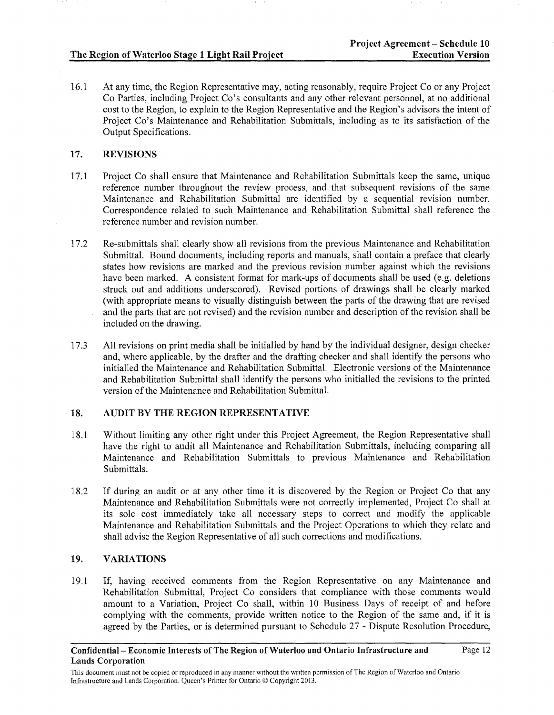16.1 At any time, the Region Representative may, acting reasonably, require Project Co or any Project Co Parties, including Project Co's consultants and any other relevant personnel, at no additional cost to the Region, to explain to the Region Representative and the Region's advisors the intent of Project Co's Maintenance and Rehabilitation Submittals, including as to its satisfaction of the Output Specifications.

# **17. REVISIONS**

- 17.1 Project Co shall ensure that Maintenance and Rehabilitation Submittals keep the same, unique reference number throughout the review process, and that subsequent revisions of the same Maintenance and Rehabilitation Submittal are identified by a sequential revision number. Correspondence related to such Maintenance and Rehabilitation Submittal shall reference the reference number and revision number.
- 17.2 Re-submittals shall clearly show all revisions from the previous Maintenance and Rehabilitation Submittal. Bound documents, including reports and manuals, shall contain a preface that clearly states how revisions are marked and the previous revision number against which the revisions have been marked. A consistent format for mark-ups of documents shall be used (e.g. deletions struck out and additions underscored). Revised portions of drawings shall be clearly marked (with appropriate means to visually distinguish between the parts of the drawing that are revised and the parts that are not revised) and the revision number and description of the revision shall be included on the drawing.
- 17.3 All revisions on print media shall be initialled by hand by the individual designer, design checker and, where applicable, by the drafter and the drafting checker and shall identify the persons who initialled the Maintenance and Rehabilitation Submittal. Electronic versions of the Maintenance and Rehabilitation Submittal shall identify the persons who initialled the revisions to the printed version of the Maintenance and Rehabilitation Submittal.

# **18. AUDIT BY THE REGION REPRESENTATIVE**

- 18.1 Without limiting any other right under this Project Agreement, the Region Representative shall have the right to audit all Maintenance and Rehabilitation Submittals, including comparing all Maintenance and Rehabilitation Submittals to previous Maintenance and Rehabilitation Submittals.
- 18.2 If during an audit or at any other time it is discovered by the Region or Project Co that any Maintenance and Rehabilitation Submittals were not correctly implemented, Project Co shall at its sole cost immediately take all necessary steps to correct and modify the applicable Maintenance and Rehabilitation Submittals and the Project Operations to which they relate and shall advise the Region Representative of all such corrections and modifications.

# **19. VARIATIONS**

19.1 If, having received comments from the Region Representative on any Maintenance and Rehabilitation Submittal, Project Co considers that compliance with those comments would amount to a Variation, Project Co shall, within 10 Business Days of receipt of and before complying with the comments, provide written notice to the Region of the same and, if it is agreed by the Parties, or is determined pursuant to Schedule 27 - Dispute Resolution Procedure,

This document must not be copied or reproduced in any manner without the written permission of The Region of Waterloo and Ontario Infrastructure and Lands Corporation. Queen's Printer for Ontario© Copyright 2013.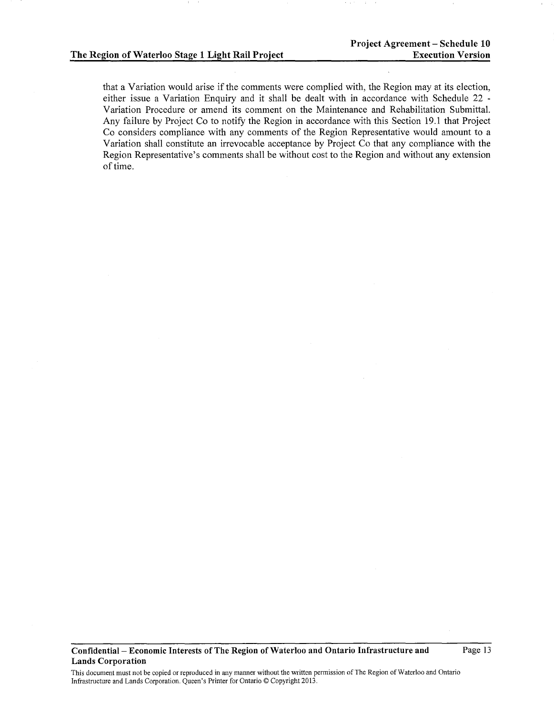that a Variation would arise if the comments were complied with, the Region may at its election, either issue a Variation Enquiry and it shall be dealt with in accordance with Schedule 22 - Variation Procedure or amend its comment on the Maintenance and Rehabilitation Submittal. Any failure by Project Co to notify the Region in accordance with this Section 19.1 that Project Co considers compliance with any comments of the Region Representative would amount to a Variation shall constitute an irrevocable acceptance by Project Co that any compliance with the Region Representative's comments shall be without cost to the Region and without any extension of time.

This document must not be copied or reproduced in any manner without the written permission of The Region of Waterloo and Ontario Infrastructure and Lands Corporation. Queen's Printer for Ontario© Copyright 2013.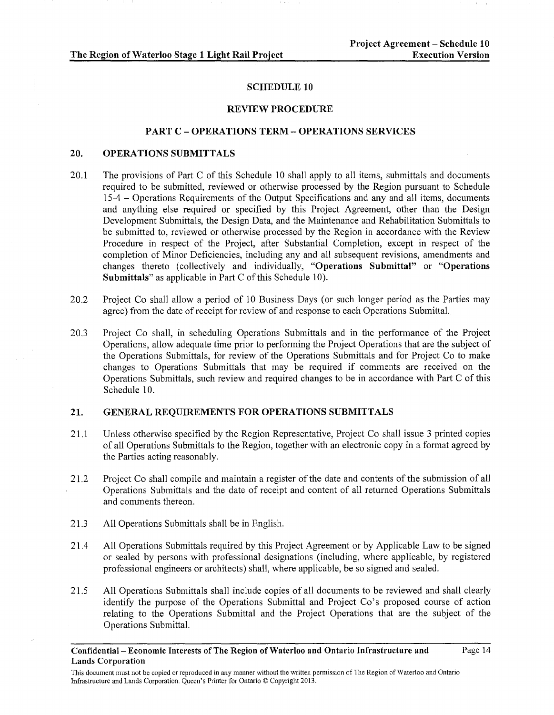#### SCHEDULE 10

#### REVIEW PROCEDURE

#### PART C- OPERATIONS TERM- OPERATIONS SERVICES

#### 20. OPERATIONS SUBMITTALS

- 20.1 The provisions of Part C of this Schedule 10 shall apply to all items, submittals and documents required to be submitted, reviewed or otherwise processed by the Region pursuant to Schedule 15-4 - Operations Requirements of the Output Specifications and any and all items, documents and anything else required or specified by this Project Agreement, other than the Design Development Submittals, the Design Data, and the Maintenance and Rehabilitation Submittals to be submitted to, reviewed or otherwise processed by the Region in accordance with the Review Procedure in respect of the Project, after Substantial Completion, except in respect of the completion of Minor Deficiencies, including any and all subsequent revisions, amendments and changes thereto (collectively and individually, "Operations Submittal" or "Operations Submittals" as applicable in Part C of this Schedule 10).
- 20.2 Project Co shall allow a period of 10 Business Days (or such longer period as the Parties may agree) from the date of receipt for review of and response to each Operations Submittal.
- 20.3 Project Co shall, in scheduling Operations Submittals and in the performance of the Project Operations, allow adequate time prior to performing the Project Operations that are the subject of the Operations Submittals, for review of the Operations Submittals and for Project Co to make changes to Operations Submittals that may be required if comments are received on the Operations Submittals, such review and required changes to be in accordance with Part C of this Schedule 10.

#### 21. GENERAL REQUIREMENTS FOR OPERATIONS SUBMITTALS

- 21.1 Unless otherwise specified by the Region Representative, Project Co shall issue 3 printed copies of all Operations Submittals to the Region, together with an electronic copy in a format agreed by the Parties acting reasonably.
- 21.2 Project Co shall compile and maintain a register of the date and contents of the submission of all Operations Submittals and the date of receipt and content of all returned Operations Submittals and comments thereon.
- 21.3 All Operations Submittals shall be in English.
- 21.4 All Operations Submittals required by this Project Agreement or by Applicable Law to be signed or sealed by persons with professional designations (including, where applicable, by registered professional engineers or architects) shall, where applicable, be so signed and sealed.
- 21.5 All Operations Submittals shall include copies of all documents to be reviewed and shall clearly identify the purpose of the Operations Submittal and Project Co's proposed course of action relating to the Operations Submittal and the Project Operations that are the subject of the Operations Submittal.

This document must not be copied or reproduced in any manner without the written permission of The Region of Waterloo and Ontario Infrastructure and Lands Corporation. Queen's Printer for Ontario© Copyright 2013.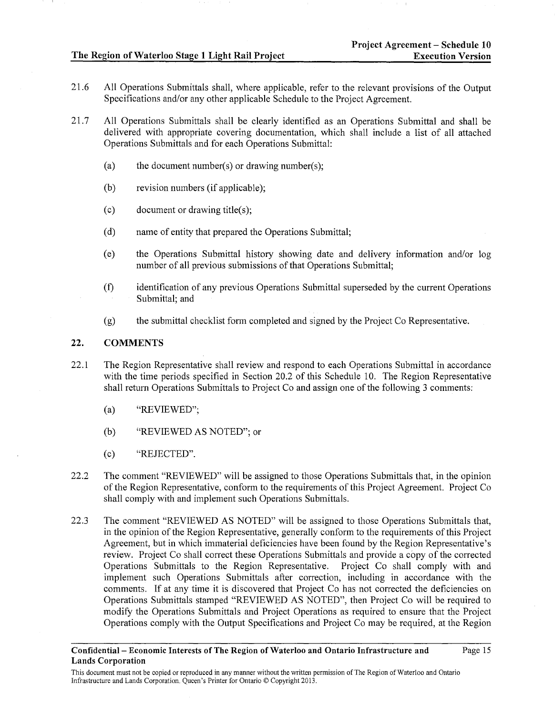- 21.6 All Operations Submittals shall, where applicable, refer to the relevant provisions of the Output Specifications and/or any other applicable Schedule to the Project Agreement.
- 21.7 All Operations Submittals shall be clearly identified as an Operations Submittal and shall be delivered with appropriate covering documentation, which shall include a list of all attached Operations Submittals and for each Operations Submittal:
	- (a) the document number(s) or drawing number(s);
	- (b) revision numbers (if applicable);
	- (c) document or drawing title(s);
	- (d) name of entity that prepared the Operations Submittal;
	- (e) the Operations Submittal history showing date and delivery information and/or log number of all previous submissions of that Operations Submittal;
	- (f) identification of any previous Operations Submittal superseded by the current Operations Submittal; and
	- (g) the submittal checklist fonn completed and signed by the Project Co Representative.

#### 22. COMMENTS

- 22.1 The Region Representative shall review and respond to each Operations Submittal in accordance with the time periods specified in Section 20.2 of this Schedule 10. The Region Representative shall return Operations Submittals to Project Co and assign one of the following 3 comments:
	- (a) "REVIEWED";
	- (b) "REVIEWED AS NOTED"; or
	- (c) "REJECTED".
- 22.2 The comment "REVIEWED" will be assigned to those Operations Submittals that, in the opinion of the Region Representative, conform to the requirements of this Project Agreement. Project Co shall comply with and implement such Operations Submittals.
- 22.3 The comment "REVIEWED AS NOTED" will be assigned to those Operations Submittals that, in the opinion of the Region Representative, generally conform to the requirements of this Project Agreement, but in which immaterial deficiencies have been found by the Region Representative's review. Project Co shall correct these Operations Submittals and provide a copy of the corrected Operations Submittals to the Region Representative. Project Co shall comply with and implement such Operations Submittals after correction, including in accordance with the comments. If at any time it is discovered that Project Co has not corrected the deficiencies on Operations Submittals stamped "REVIEWED AS NOTED", then Project Co will be required to modify the Operations Submittals and Project Operations as required to ensure that the Project Operations comply with the Output Specifications and Project Co may be required, at the Region

This document must not be copied or reproduced in any manner without the written permission of The Region of Waterloo and Ontario Infrastructure and Lands Corporation. Queen's Printer for Ontario© Copyright 2013.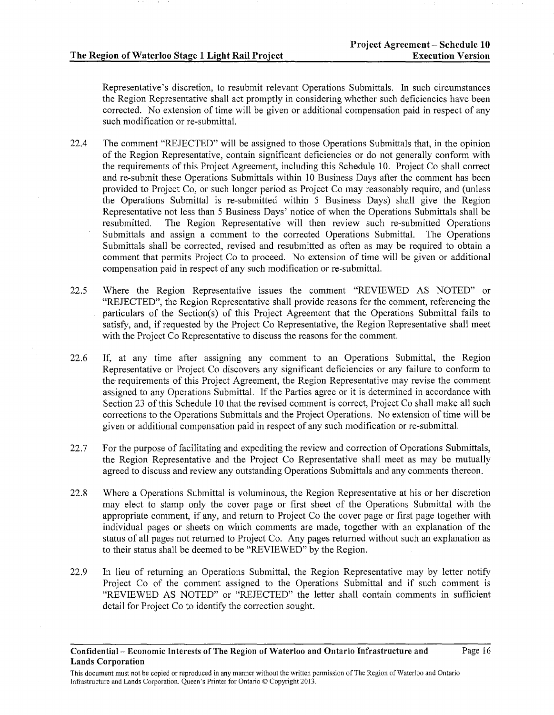Representative's discretion, to resubmit relevant Operations Submittals. In such circumstances the Region Representative shall act promptly in considering whether such deficiencies have been corrected. No extension of time will be given or additional compensation paid in respect of any such modification or re-submittal.

- 22.4 The comment "REJECTED" will be assigned to those Operations Submittals that, in the opinion of the Region Representative, contain significant deficiencies or do not generally conform with the requirements of this Project Agreement, including this Schedule 10. Project Co shall correct and re-submit these Operations Submittals within 10 Business Days after the comment has been provided to Project Co, or such longer period as Project Co may reasonably require, and (unless the Operations Submittal is re-submitted within 5 Business Days) shall give the Region Representative not less than 5 Business Days' notice of when the Operations Submittals shall be resubmitted. The Region Representative will then review such re-submitted Operations Submittals and assign a comment to the corrected Operations Submittal. The Operations Submittals shall be corrected, revised and resubmitted as often as may be required to obtain a comment that permits Project Co to proceed. No extension of time will be given or additional compensation paid in respect of any such modification or re-submittal.
- 22.5 Where the Region Representative issues the comment "REVIEWED AS NOTED" or "REJECTED", the Region Representative shall provide reasons for the comment, referencing the particulars of the Section(s) of this Project Agreement that the Operations Submittal fails to satisfy, and, if requested by the Project Co Representative, the Region Representative shall meet with the Project Co Representative to discuss the reasons for the comment.
- 22.6 If, at any time after assigning any comment to an Operations Submittal, the Region Representative or Project Co discovers any significant deficiencies or any failure to conform to the requirements of this Project Agreement, the Region Representative may revise the comment assigned to any Operations Submittal. If the Parties agree or it is determined in accordance with Section 23 of this Schedule 10 that the revised comment is correct, Project Co shall make all such corrections to the Operations Submittals and the Project Operations. No extension of time will be given or additional compensation paid in respect of any such modification or re-submittal.
- 22.7 For the purpose of facilitating and expediting the review and correction of Operations Submittals, the Region Representative and the Project Co Representative shall meet as may be mutually agreed to discuss and review any outstanding Operations Submittals and any comments thereon.
- 22.8 Where a Operations Submittal is voluminous, the Region Representative at his or her discretion may elect to stamp only the cover page or first sheet of the Operations Submittal with the appropriate comment, if any, and return to Project Co the cover page or first page together with individual pages or sheets on which comments are made, together with an explanation of the status of all pages not returned to Project Co. Any pages returned without such an explanation as to their status shall be deemed to be "REVIEWED" by the Region.
- 22.9 In lieu of returning an Operations Submittal, the Region Representative may by letter notify Project Co of the comment assigned to the Operations Submittal and if such comment is "REVIEWED AS NOTED" or "REJECTED" the letter shall contain comments in sufficient detail for Project Co to identify the correction sought.

This document must not be copied or reproduced in any manner without the written permission of The Region of Waterloo and Ontario Infrastructure and Lands Corporation. Queen's Printer for Ontario© Copyright 2013.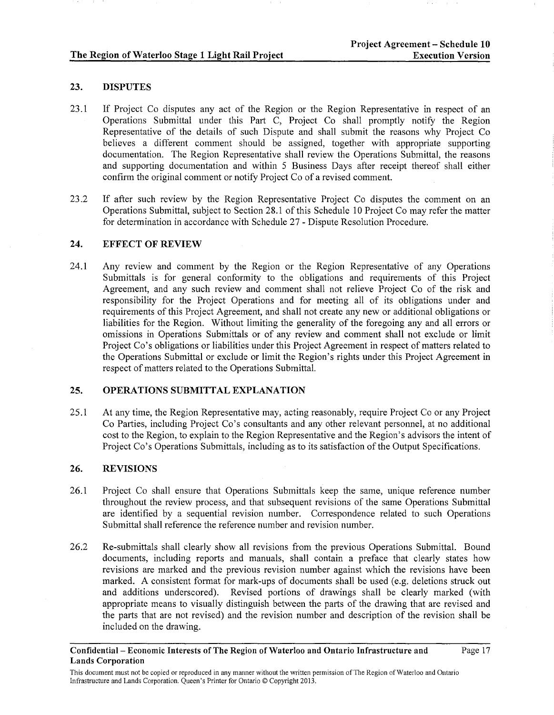# 23. DISPUTES

- 23.1 If Project Co disputes any act of the Region or the Region Representative in respect of an Operations Submittal under this Part C, Project Co shall promptly notify the Region Representative of the details of such Dispute and shall submit the reasons why Project Co believes a different comment should be assigned, together with appropriate supporting documentation. The Region Representative shall review the Operations Submittal, the reasons and supporting documentation and within 5 Business Days after receipt thereof shall either confirm the original comment or notify Project Co of a revised comment.
- 23.2 If after such review by the Region Representative Project Co disputes the comment on an Operations Submittal, subject to Section 28.1 of this Schedule 10 Project Co may refer the matter for determination in accordance with Schedule 27- Dispute Resolution Procedure.

### 24. EFFECT OF REVIEW

24.1 Any review and comment by the Region or the Region Representative of any Operations Submittals is for general conformity to the obligations and requirements of this Project Agreement, and any such review and comment shall not relieve Project Co of the risk and responsibility for the Project Operations and for meeting all of its obligations under and requirements of this Project Agreement, and shall not create any new or additional obligations or liabilities for the Region. Without limiting the generality of the foregoing any and all errors or omissions in Operations Submittals or of any review and comment shall not exclude or limit Project Co's obligations or liabilities under this Project Agreement in respect of matters related to the Operations Submittal or exclude or limit the Region's rights under this Project Agreement in respect of matters related to the Operations Submittal.

# 25. OPERATIONS SUBMITTAL EXPLANATION

25.1 At any time, the Region Representative may, acting reasonably, require Project Co or any Project Co Parties, including Project Co's consultants and any other relevant personnel, at no additional cost to the Region, to explain to the Region Representative and the Region's advisors the intent of Project Co's Operations Submittals, including as to its satisfaction of the Output Specifications.

# 26. REVISIONS

- 26.1 Project Co shall ensure that Operations Submittals keep the same, unique reference number throughout the review process, and that subsequent revisions of the same Operations Submittal are identified by a sequential revision number. Correspondence related to such Operations Submittal shall reference the reference number and revision number.
- 26.2 Re-submittals shall clearly show all revisions from the previous Operations Submittal. Bound documents, including reports and manuals, shall contain a preface that clearly states how revisions are marked and the previous revision number against which the revisions have been marked. A consistent format for mark-ups of documents shall be used (e.g. deletions struck out and additions underscored). Revised portions of drawings shall be clearly marked (with appropriate means to visually distinguish between the parts of the drawing that are revised and the parts that are not revised) and the revision number and description of the revision shall be included on the drawing.